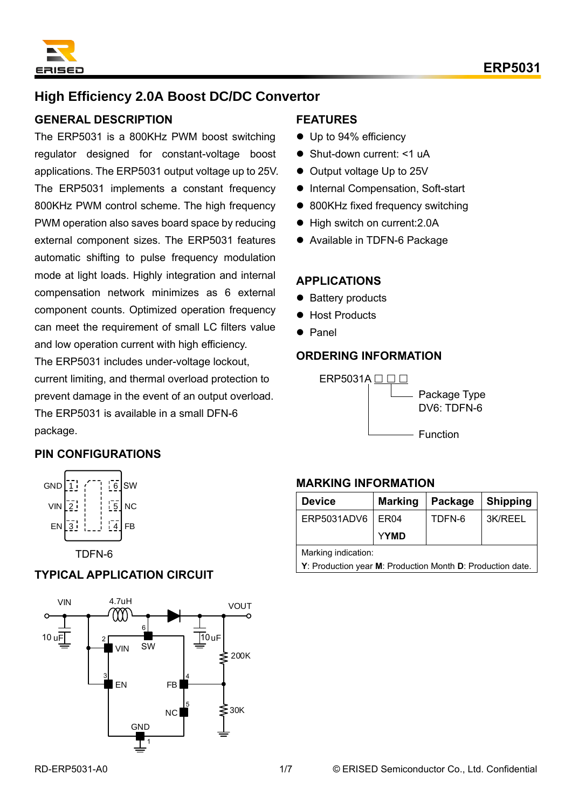

# **High Efficiency 2.0A Boost DC/DC Convertor**

### **GENERAL DESCRIPTION**

The ERP5031 is a 800KHz PWM boost switching regulator designed for constant-voltage boost applications. The ERP5031 output voltage up to 25V. The ERP5031 implements a constant frequency 800KHz PWM control scheme. The high frequency PWM operation also saves board space by reducing external component sizes. The ERP5031 features automatic shifting to pulse frequency modulation mode at light loads. Highly integration and internal compensation network minimizes as 6 external component counts. Optimized operation frequency can meet the requirement of small LC filters value and low operation current with high efficiency. The ERP5031 includes under-voltage lockout, current limiting, and thermal overload protection to prevent damage in the event of an output overload. The ERP5031 is available in a small DFN-6

### **FEATURES**

- Up to 94% efficiency
- Shut-down current: <1 uA
- Output voltage Up to 25V
- Internal Compensation, Soft-start
- 800KHz fixed frequency switching
- High switch on current: 2.0A
- ⚫ Available in TDFN-6 Package

### **APPLICATIONS**

- Battery products
- Host Products
- ⚫ Panel

## **ORDERING INFORMATION**



### **PIN CONFIGURATIONS**

package.



TDFN-6

### **TYPICAL APPLICATION CIRCUIT**



### **MARKING INFORMATION**

| <b>Device</b>                                              | <b>Marking</b>   | Package | <b>Shipping</b> |  |
|------------------------------------------------------------|------------------|---------|-----------------|--|
| ERP5031ADV6                                                | ER <sub>04</sub> | TDFN-6  | 3K/REEL         |  |
|                                                            | <b>YYMD</b>      |         |                 |  |
| Marking indication:                                        |                  |         |                 |  |
| Y: Production year M: Production Month D: Production date. |                  |         |                 |  |